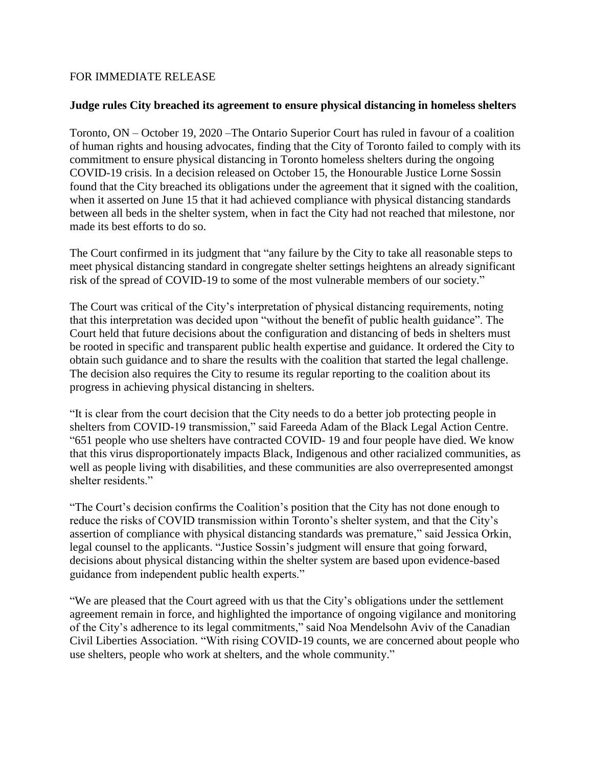## FOR IMMEDIATE RELEASE

## **Judge rules City breached its agreement to ensure physical distancing in homeless shelters**

Toronto, ON – October 19, 2020 –The Ontario Superior Court has ruled in favour of a coalition of human rights and housing advocates, finding that the City of Toronto failed to comply with its commitment to ensure physical distancing in Toronto homeless shelters during the ongoing COVID-19 crisis. In a decision released on October 15, the Honourable Justice Lorne Sossin found that the City breached its obligations under the agreement that it signed with the coalition, when it asserted on June 15 that it had achieved compliance with physical distancing standards between all beds in the shelter system, when in fact the City had not reached that milestone, nor made its best efforts to do so.

The Court confirmed in its judgment that "any failure by the City to take all reasonable steps to meet physical distancing standard in congregate shelter settings heightens an already significant risk of the spread of COVID-19 to some of the most vulnerable members of our society."

The Court was critical of the City's interpretation of physical distancing requirements, noting that this interpretation was decided upon "without the benefit of public health guidance". The Court held that future decisions about the configuration and distancing of beds in shelters must be rooted in specific and transparent public health expertise and guidance. It ordered the City to obtain such guidance and to share the results with the coalition that started the legal challenge. The decision also requires the City to resume its regular reporting to the coalition about its progress in achieving physical distancing in shelters.

"It is clear from the court decision that the City needs to do a better job protecting people in shelters from COVID-19 transmission," said Fareeda Adam of the Black Legal Action Centre. "651 people who use shelters have contracted COVID- 19 and four people have died. We know that this virus disproportionately impacts Black, Indigenous and other racialized communities, as well as people living with disabilities, and these communities are also overrepresented amongst shelter residents."

"The Court's decision confirms the Coalition's position that the City has not done enough to reduce the risks of COVID transmission within Toronto's shelter system, and that the City's assertion of compliance with physical distancing standards was premature," said Jessica Orkin, legal counsel to the applicants. "Justice Sossin's judgment will ensure that going forward, decisions about physical distancing within the shelter system are based upon evidence-based guidance from independent public health experts."

"We are pleased that the Court agreed with us that the City's obligations under the settlement agreement remain in force, and highlighted the importance of ongoing vigilance and monitoring of the City's adherence to its legal commitments," said Noa Mendelsohn Aviv of the Canadian Civil Liberties Association. "With rising COVID-19 counts, we are concerned about people who use shelters, people who work at shelters, and the whole community."